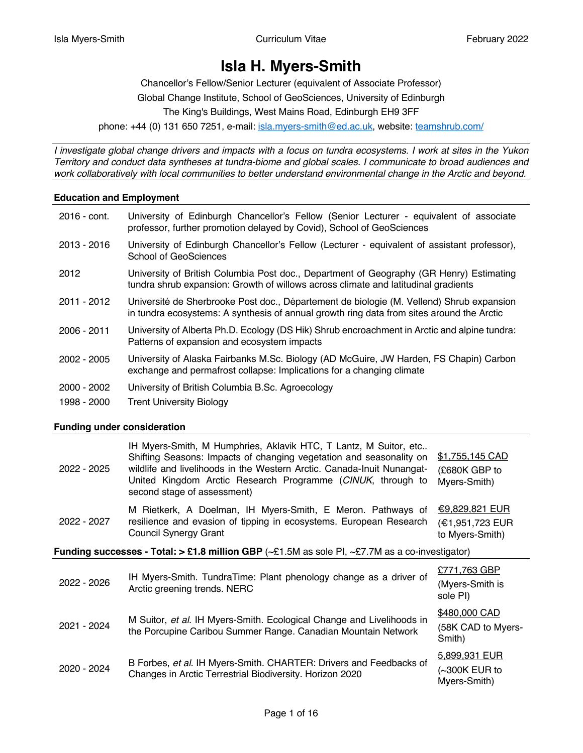# **Isla H. Myers-Smith**

Chancellor's Fellow/Senior Lecturer (equivalent of Associate Professor) Global Change Institute, School of GeoSciences, University of Edinburgh The King's Buildings, West Mains Road, Edinburgh EH9 3FF phone: +44 (0) 131 650 7251, e-mail: isla.myers-smith@ed.ac.uk, website: teamshrub.com/

*I investigate global change drivers and impacts with a focus on tundra ecosystems. I work at sites in the Yukon Territory and conduct data syntheses at tundra-biome and global scales. I communicate to broad audiences and work collaboratively with local communities to better understand environmental change in the Arctic and beyond.*

## **Education and Employment**

| 2016 - cont.                 | University of Edinburgh Chancellor's Fellow (Senior Lecturer - equivalent of associate<br>professor, further promotion delayed by Covid), School of GeoSciences                       |
|------------------------------|---------------------------------------------------------------------------------------------------------------------------------------------------------------------------------------|
| 2013 - 2016                  | University of Edinburgh Chancellor's Fellow (Lecturer - equivalent of assistant professor),<br>School of GeoSciences                                                                  |
| 2012                         | University of British Columbia Post doc., Department of Geography (GR Henry) Estimating<br>tundra shrub expansion: Growth of willows across climate and latitudinal gradients         |
| 2011 - 2012                  | Université de Sherbrooke Post doc., Département de biologie (M. Vellend) Shrub expansion<br>in tundra ecosystems: A synthesis of annual growth ring data from sites around the Arctic |
| 2006 - 2011                  | University of Alberta Ph.D. Ecology (DS Hik) Shrub encroachment in Arctic and alpine tundra:<br>Patterns of expansion and ecosystem impacts                                           |
| 2002 - 2005                  | University of Alaska Fairbanks M.Sc. Biology (AD McGuire, JW Harden, FS Chapin) Carbon<br>exchange and permafrost collapse: Implications for a changing climate                       |
| $2000 - 2002$<br>1998 - 2000 | University of British Columbia B.Sc. Agroecology<br><b>Trent University Biology</b>                                                                                                   |

#### **Funding under consideration**

| 2022 - 2025 | IH Myers-Smith, M Humphries, Aklavik HTC, T Lantz, M Suitor, etc<br>Shifting Seasons: Impacts of changing vegetation and seasonality on<br>wildlife and livelihoods in the Western Arctic. Canada-Inuit Nunangat-<br>United Kingdom Arctic Research Programme (CINUK, through to<br>second stage of assessment) | \$1,755,145 CAD<br>(£680K GBP to<br>Myers-Smith)            |
|-------------|-----------------------------------------------------------------------------------------------------------------------------------------------------------------------------------------------------------------------------------------------------------------------------------------------------------------|-------------------------------------------------------------|
| 2022 - 2027 | M Rietkerk, A Doelman, IH Myers-Smith, E Meron. Pathways of<br>resilience and evasion of tipping in ecosystems. European Research<br><b>Council Synergy Grant</b>                                                                                                                                               | <u>€9,829,821 EUR</u><br>(€1,951,723 EUR<br>to Myers-Smith) |
|             | <b>Funding successes - Total: &gt; £1.8 million GBP</b> ( $\sim$ £1.5M as sole PI, $\sim$ £7.7M as a co-investigator)                                                                                                                                                                                           |                                                             |
| 2022 - 2026 | IH Myers-Smith. TundraTime: Plant phenology change as a driver of<br>Arctic greening trends. NERC                                                                                                                                                                                                               | £771,763 GBP<br>(Myers-Smith is<br>sole PI)                 |
| 2021 - 2024 | M Suitor, et al. IH Myers-Smith. Ecological Change and Livelihoods in<br>the Porcupine Caribou Summer Range. Canadian Mountain Network                                                                                                                                                                          | \$480,000 CAD<br>(58K CAD to Myers-<br>Smith)               |
| 2020 - 2024 | B Forbes, et al. IH Myers-Smith. CHARTER: Drivers and Feedbacks of<br>Changes in Arctic Terrestrial Biodiversity. Horizon 2020                                                                                                                                                                                  | 5,899,931 EUR<br>(~300K EUR to<br>Myers-Smith)              |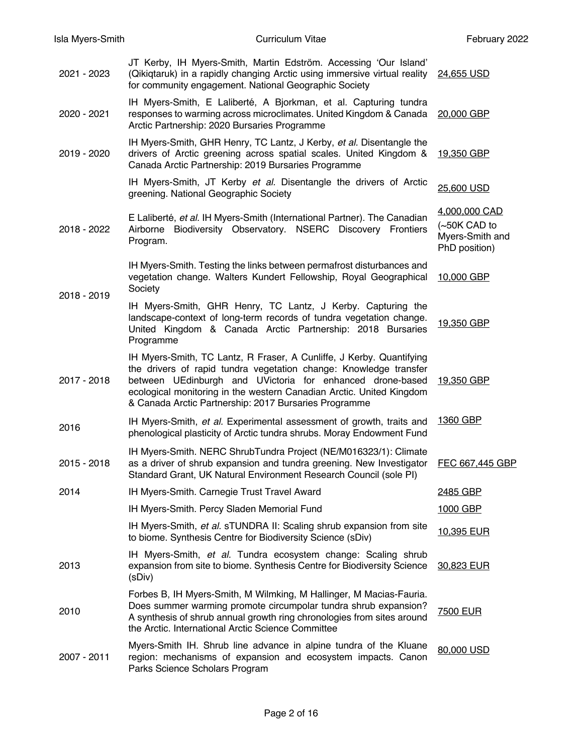| 2021 - 2023 | JT Kerby, IH Myers-Smith, Martin Edström. Accessing 'Our Island'<br>(Qikiqtaruk) in a rapidly changing Arctic using immersive virtual reality<br>for community engagement. National Geographic Society                                                                                                                                  | 24,655 USD                                                          |
|-------------|-----------------------------------------------------------------------------------------------------------------------------------------------------------------------------------------------------------------------------------------------------------------------------------------------------------------------------------------|---------------------------------------------------------------------|
| 2020 - 2021 | IH Myers-Smith, E Laliberté, A Bjorkman, et al. Capturing tundra<br>responses to warming across microclimates. United Kingdom & Canada<br>Arctic Partnership: 2020 Bursaries Programme                                                                                                                                                  | 20,000 GBP                                                          |
| 2019 - 2020 | IH Myers-Smith, GHR Henry, TC Lantz, J Kerby, et al. Disentangle the<br>drivers of Arctic greening across spatial scales. United Kingdom &<br>Canada Arctic Partnership: 2019 Bursaries Programme                                                                                                                                       | 19,350 GBP                                                          |
|             | IH Myers-Smith, JT Kerby et al. Disentangle the drivers of Arctic<br>greening. National Geographic Society                                                                                                                                                                                                                              | 25,600 USD                                                          |
| 2018 - 2022 | E Laliberté, et al. IH Myers-Smith (International Partner). The Canadian<br>Biodiversity Observatory. NSERC Discovery Frontiers<br>Airborne<br>Program.                                                                                                                                                                                 | 4,000,000 CAD<br>$(-50K$ CAD to<br>Myers-Smith and<br>PhD position) |
| 2018 - 2019 | IH Myers-Smith. Testing the links between permafrost disturbances and<br>vegetation change. Walters Kundert Fellowship, Royal Geographical<br>Society                                                                                                                                                                                   | 10,000 GBP                                                          |
|             | IH Myers-Smith, GHR Henry, TC Lantz, J Kerby. Capturing the<br>landscape-context of long-term records of tundra vegetation change.<br>United Kingdom & Canada Arctic Partnership: 2018 Bursaries<br>Programme                                                                                                                           | 19,350 GBP                                                          |
| 2017 - 2018 | IH Myers-Smith, TC Lantz, R Fraser, A Cunliffe, J Kerby. Quantifying<br>the drivers of rapid tundra vegetation change: Knowledge transfer<br>between UEdinburgh and UVictoria for enhanced drone-based<br>ecological monitoring in the western Canadian Arctic. United Kingdom<br>& Canada Arctic Partnership: 2017 Bursaries Programme | 19,350 GBP                                                          |
| 2016        | IH Myers-Smith, et al. Experimental assessment of growth, traits and<br>phenological plasticity of Arctic tundra shrubs. Moray Endowment Fund                                                                                                                                                                                           | 1360 GBP                                                            |
| 2015 - 2018 | IH Myers-Smith. NERC ShrubTundra Project (NE/M016323/1): Climate<br>as a driver of shrub expansion and tundra greening. New Investigator<br>Standard Grant, UK Natural Environment Research Council (sole PI)                                                                                                                           | FEC 667,445 GBP                                                     |
| 2014        | IH Myers-Smith. Carnegie Trust Travel Award                                                                                                                                                                                                                                                                                             | 2485 GBP                                                            |
|             | IH Myers-Smith. Percy Sladen Memorial Fund                                                                                                                                                                                                                                                                                              | 1000 GBP                                                            |
|             | IH Myers-Smith, et al. sTUNDRA II: Scaling shrub expansion from site<br>to biome. Synthesis Centre for Biodiversity Science (sDiv)                                                                                                                                                                                                      | 10,395 EUR                                                          |
| 2013        | IH Myers-Smith, et al. Tundra ecosystem change: Scaling shrub<br>expansion from site to biome. Synthesis Centre for Biodiversity Science<br>(sDiv)                                                                                                                                                                                      | 30,823 EUR                                                          |
| 2010        | Forbes B, IH Myers-Smith, M Wilmking, M Hallinger, M Macias-Fauria.<br>Does summer warming promote circumpolar tundra shrub expansion?<br>A synthesis of shrub annual growth ring chronologies from sites around<br>the Arctic. International Arctic Science Committee                                                                  | 7500 EUR                                                            |
| 2007 - 2011 | Myers-Smith IH. Shrub line advance in alpine tundra of the Kluane<br>region: mechanisms of expansion and ecosystem impacts. Canon<br>Parks Science Scholars Program                                                                                                                                                                     | 80,000 USD                                                          |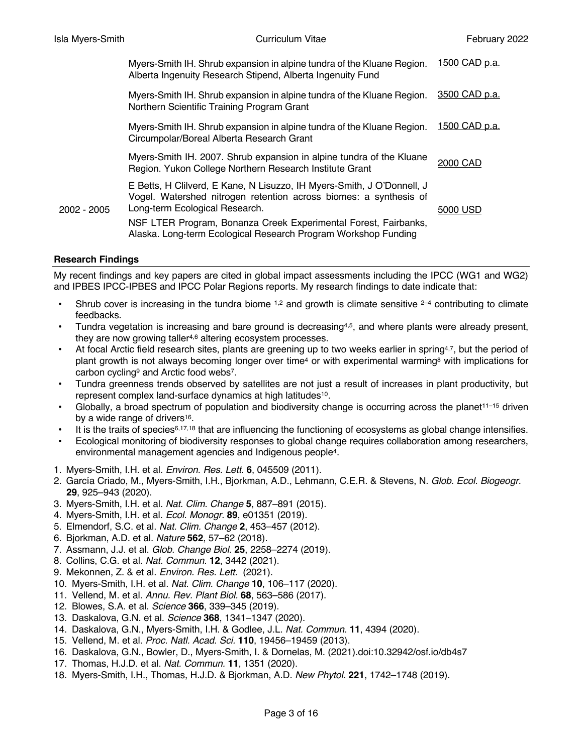|      | Myers-Smith IH. Shrub expansion in alpine tundra of the Kluane Region.<br>Alberta Ingenuity Research Stipend, Alberta Ingenuity Fund                                          | 1500 CAD p.a. |
|------|-------------------------------------------------------------------------------------------------------------------------------------------------------------------------------|---------------|
|      | Myers-Smith IH. Shrub expansion in alpine tundra of the Kluane Region.<br>Northern Scientific Training Program Grant                                                          | 3500 CAD p.a. |
|      | Myers-Smith IH. Shrub expansion in alpine tundra of the Kluane Region.<br>Circumpolar/Boreal Alberta Research Grant                                                           | 1500 CAD p.a. |
|      | Myers-Smith IH. 2007. Shrub expansion in alpine tundra of the Kluane<br>Region. Yukon College Northern Research Institute Grant                                               | 2000 CAD      |
| 2005 | E Betts, H Clilverd, E Kane, N Lisuzzo, IH Myers-Smith, J O'Donnell, J<br>Vogel. Watershed nitrogen retention across biomes: a synthesis of<br>Long-term Ecological Research. | 5000 USD      |
|      | NSF LTER Program, Bonanza Creek Experimental Forest, Fairbanks,<br>Alaska. Long-term Ecological Research Program Workshop Funding                                             |               |

## **Research Findings**

 $2002 -$ 

My recent findings and key papers are cited in global impact assessments including the IPCC (WG1 and WG2) and IPBES IPCC-IPBES and IPCC Polar Regions reports. My research findings to date indicate that:

- Shrub cover is increasing in the tundra biome  $1.2$  and growth is climate sensitive  $2-4$  contributing to climate feedbacks.
- Tundra vegetation is increasing and bare ground is decreasing4,5, and where plants were already present, they are now growing taller<sup>4,6</sup> altering ecosystem processes.
- At focal Arctic field research sites, plants are greening up to two weeks earlier in spring<sup>4,7</sup>, but the period of plant growth is not always becoming longer over time<sup>4</sup> or with experimental warming<sup>8</sup> with implications for carbon cycling9 and Arctic food webs7.
- Tundra greenness trends observed by satellites are not just a result of increases in plant productivity, but represent complex land-surface dynamics at high latitudes10.
- Globally, a broad spectrum of population and biodiversity change is occurring across the planet<sup>11–15</sup> driven by a wide range of drivers<sup>16</sup>.
- It is the traits of species<sup>6,17,18</sup> that are influencing the functioning of ecosystems as global change intensifies.
- Ecological monitoring of biodiversity responses to global change requires collaboration among researchers, environmental management agencies and Indigenous people4.
- 1. Myers-Smith, I.H. et al. *Environ. Res. Lett.* **6**, 045509 (2011).
- 2. García Criado, M., Myers‐Smith, I.H., Bjorkman, A.D., Lehmann, C.E.R. & Stevens, N. *Glob. Ecol. Biogeogr.* **29**, 925–943 (2020).
- 3. Myers-Smith, I.H. et al. *Nat. Clim. Change* **5**, 887–891 (2015).
- 4. Myers‐Smith, I.H. et al. *Ecol. Monogr.* **89**, e01351 (2019).
- 5. Elmendorf, S.C. et al. *Nat. Clim. Change* **2**, 453–457 (2012).
- 6. Bjorkman, A.D. et al. *Nature* **562**, 57–62 (2018).
- 7. Assmann, J.J. et al. *Glob. Change Biol.* **25**, 2258–2274 (2019).
- 8. Collins, C.G. et al. *Nat. Commun.* **12**, 3442 (2021).
- 9. Mekonnen, Z. & et al. *Environ. Res. Lett.* (2021).
- 10. Myers-Smith, I.H. et al. *Nat. Clim. Change* **10**, 106–117 (2020).
- 11. Vellend, M. et al. *Annu. Rev. Plant Biol.* **68**, 563–586 (2017).
- 12. Blowes, S.A. et al. *Science* **366**, 339–345 (2019).
- 13. Daskalova, G.N. et al. *Science* **368**, 1341–1347 (2020).
- 14. Daskalova, G.N., Myers-Smith, I.H. & Godlee, J.L. *Nat. Commun.* **11**, 4394 (2020).
- 15. Vellend, M. et al. *Proc. Natl. Acad. Sci.* **110**, 19456–19459 (2013).
- 16. Daskalova, G.N., Bowler, D., Myers-Smith, I. & Dornelas, M. (2021).doi:10.32942/osf.io/db4s7
- 17. Thomas, H.J.D. et al. *Nat. Commun.* **11**, 1351 (2020).
- 18. Myers‐Smith, I.H., Thomas, H.J.D. & Bjorkman, A.D. *New Phytol.* **221**, 1742–1748 (2019).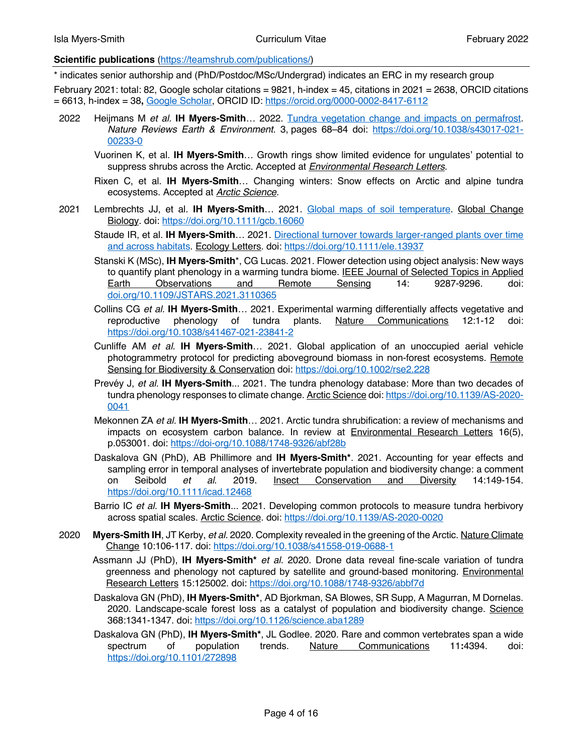## **Scientific publications** (https://teamshrub.com/publications/)

\* indicates senior authorship and (PhD/Postdoc/MSc/Undergrad) indicates an ERC in my research group

February 2021: total: 82, Google scholar citations = 9821, h-index = 45, citations in 2021 = 2638, ORCID citations = 6613, h-index = 38**,** Google Scholar, ORCID ID: https://orcid.org/0000-0002-8417-6112

- 2022 Heijmans M *et al.* **IH Myers-Smith**… 2022. Tundra vegetation change and impacts on permafrost. *Nature Reviews Earth & Environment*. 3, pages 68–84 doi: https://doi.org/10.1038/s43017-021- 00233-0
	- Vuorinen K, et al. **IH Myers-Smith**… Growth rings show limited evidence for ungulates' potential to suppress shrubs across the Arctic. Accepted at *Environmental Research Letters*.
	- Rixen C, et al. **IH Myers-Smith**… Changing winters: Snow effects on Arctic and alpine tundra ecosystems. Accepted at *Arctic Science*.
- 2021 Lembrechts JJ, et al. **IH Myers-Smith**… 2021. Global maps of soil temperature. Global Change Biology. doi: https://doi.org/10.1111/gcb.16060
	- Staude IR, et al. IH Myers-Smith... 2021. Directional turnover towards larger-ranged plants over time and across habitats. Ecology Letters. doi: https://doi.org/10.1111/ele.13937
	- Stanski K (MSc), **IH Myers-Smith**\*, CG Lucas. 2021. Flower detection using object analysis: New ways to quantify plant phenology in a warming tundra biome. **IEEE Journal of Selected Topics in Applied** Earth Observations and Remote Sensing 14: 9287-9296. doi: doi.org/10.1109/JSTARS.2021.3110365
	- Collins CG *et al.* **IH Myers-Smith**… 2021. Experimental warming differentially affects vegetative and reproductive phenology of tundra plants. Nature Communications 12:1-12 doi: https://doi.org/10.1038/s41467-021-23841-2
	- Cunliffe AM *et al.* **IH Myers-Smith**… 2021. Global application of an unoccupied aerial vehicle photogrammetry protocol for predicting aboveground biomass in non-forest ecosystems. Remote Sensing for Biodiversity & Conservation doi: https://doi.org/10.1002/rse2.228
	- Prevéy J, *et al.* **IH Myers-Smith**... 2021. The tundra phenology database: More than two decades of tundra phenology responses to climate change. Arctic Science doi: https://doi.org/10.1139/AS-2020- 0041
	- Mekonnen ZA *et al.* **IH Myers-Smith**… 2021. Arctic tundra shrubification: a review of mechanisms and impacts on ecosystem carbon balance. In review at Environmental Research Letters 16(5), p.053001. doi: https://doi-org/10.1088/1748-9326/abf28b
	- Daskalova GN (PhD), AB Phillimore and **IH Myers‐Smith\***. 2021. Accounting for year effects and sampling error in temporal analyses of invertebrate population and biodiversity change: a comment on Seibold *et al*. 2019. Insect Conservation and Diversity 14:149-154. https://doi.org/10.1111/icad.12468
	- Barrio IC *et al.* **IH Myers-Smith**... 2021. Developing common protocols to measure tundra herbivory across spatial scales. Arctic Science. doi: https://doi.org/10.1139/AS-2020-0020
- 2020 **Myers-Smith IH**, JT Kerby, *et al.* 2020. Complexity revealed in the greening of the Arctic. Nature Climate Change 10:106-117. doi: https://doi.org/10.1038/s41558-019-0688-1
	- Assmann JJ (PhD), **IH Myers-Smith\*** *et al.* 2020. Drone data reveal fine-scale variation of tundra greenness and phenology not captured by satellite and ground-based monitoring. *Environmental* Research Letters 15:125002. doi: https://doi.org/10.1088/1748-9326/abbf7d
	- Daskalova GN (PhD), **IH Myers-Smith\***, AD Bjorkman, SA Blowes, SR Supp, A Magurran, M Dornelas. 2020. Landscape-scale forest loss as a catalyst of population and biodiversity change. Science 368:1341-1347. doi: https://doi.org/10.1126/science.aba1289
	- Daskalova GN (PhD), **IH Myers-Smith\***, JL Godlee. 2020. Rare and common vertebrates span a wide spectrum of population trends. Nature Communications 11**:**4394. doi: https://doi.org/10.1101/272898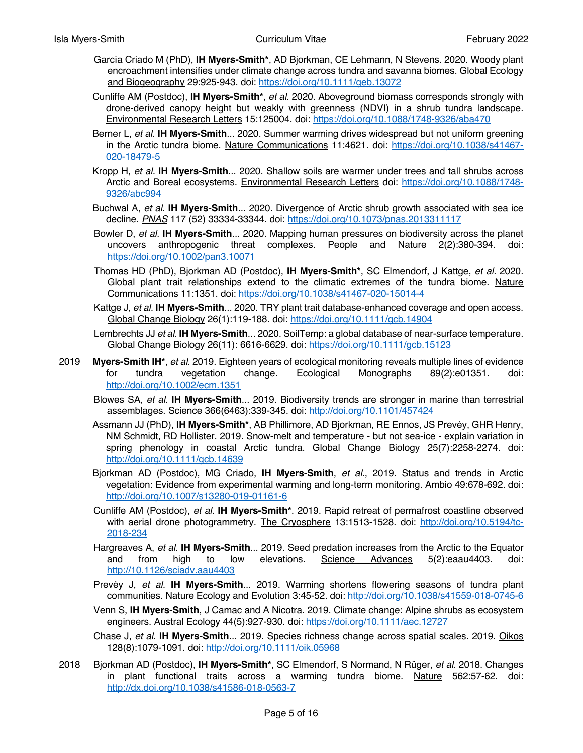- García Criado M (PhD), **IH Myers‐Smith\***, AD Bjorkman, CE Lehmann, N Stevens. 2020. Woody plant encroachment intensifies under climate change across tundra and savanna biomes. Global Ecology and Biogeography 29:925-943. doi: https://doi.org/10.1111/geb.13072
- Cunliffe AM (Postdoc), **IH Myers-Smith\***, *et al.* 2020. Aboveground biomass corresponds strongly with drone-derived canopy height but weakly with greenness (NDVI) in a shrub tundra landscape. Environmental Research Letters 15:125004. doi: https://doi.org/10.1088/1748-9326/aba470
- Berner L, *et al.* **IH Myers-Smith**... 2020. Summer warming drives widespread but not uniform greening in the Arctic tundra biome. Nature Communications 11:4621. doi: https://doi.org/10.1038/s41467- 020-18479-5
- Kropp H, *et al.* **IH Myers-Smith**... 2020. Shallow soils are warmer under trees and tall shrubs across Arctic and Boreal ecosystems. Environmental Research Letters doi: https://doi.org/10.1088/1748-9326/abc994
- Buchwal A, *et al.* **IH Myers-Smith**... 2020. Divergence of Arctic shrub growth associated with sea ice decline. *PNAS* 117 (52) 33334-33344. doi: https://doi.org/10.1073/pnas.2013311117
- Bowler D, *et al.* **IH Myers-Smith**... 2020. Mapping human pressures on biodiversity across the planet uncovers anthropogenic threat complexes. People and Nature 2(2):380-394. doi: https://doi.org/10.1002/pan3.10071
- Thomas HD (PhD), Bjorkman AD (Postdoc), **IH Myers-Smith\***, SC Elmendorf, J Kattge, *et al.* 2020. Global plant trait relationships extend to the climatic extremes of the tundra biome. Nature Communications 11:1351. doi: https://doi.org/10.1038/s41467-020-15014-4
- Kattge J, *et al.* **IH Myers-Smith**... 2020. TRY plant trait database-enhanced coverage and open access. Global Change Biology 26(1):119-188. doi: https://doi.org/10.1111/gcb.14904
- Lembrechts JJ *et al.* **IH Myers-Smith**... 2020. SoilTemp: a global database of near‐surface temperature. Global Change Biology 26(11): 6616-6629. doi: https://doi.org/10.1111/gcb.15123
- 2019 **Myers-Smith IH\***, *et al.* 2019. Eighteen years of ecological monitoring reveals multiple lines of evidence for tundra vegetation change. Ecological Monographs 89(2):e01351. doi: http://doi.org/10.1002/ecm.1351
	- Blowes SA, *et al.* **IH Myers-Smith**... 2019. Biodiversity trends are stronger in marine than terrestrial assemblages. Science 366(6463):339-345. doi: http://doi.org/10.1101/457424
	- Assmann JJ (PhD), **IH Myers-Smith\***, AB Phillimore, AD Bjorkman, RE Ennos, JS Prevéy, GHR Henry, NM Schmidt, RD Hollister. 2019. Snow-melt and temperature - but not sea-ice - explain variation in spring phenology in coastal Arctic tundra. Global Change Biology 25(7):2258-2274. doi: http://doi.org/10.1111/gcb.14639
	- Bjorkman AD (Postdoc), MG Criado, **IH Myers-Smith**, *et al.*, 2019. Status and trends in Arctic vegetation: Evidence from experimental warming and long-term monitoring. Ambio 49:678-692. doi: http://doi.org/10.1007/s13280-019-01161-6
	- Cunliffe AM (Postdoc), *et al.* **IH Myers-Smith\***. 2019. Rapid retreat of permafrost coastline observed with aerial drone photogrammetry. The Cryosphere 13:1513-1528. doi: http://doi.org/10.5194/tc-2018-234
	- Hargreaves A, *et al.* **IH Myers-Smith**... 2019. Seed predation increases from the Arctic to the Equator and from high to low elevations. Science Advances 5(2):eaau4403. doi: http://10.1126/sciadv.aau4403
	- Prevéy J, *et al.* **IH Myers-Smith**... 2019. Warming shortens flowering seasons of tundra plant communities. Nature Ecology and Evolution 3:45-52. doi: http://doi.org/10.1038/s41559-018-0745-6
	- Venn S, **IH Myers-Smith**, J Camac and A Nicotra. 2019. Climate change: Alpine shrubs as ecosystem engineers. Austral Ecology 44(5):927-930. doi: https://doi.org/10.1111/aec.12727
	- Chase J, *et al.* **IH Myers-Smith**... 2019. Species richness change across spatial scales. 2019. Oikos 128(8):1079-1091. doi: http://doi.org/10.1111/oik.05968
- 2018 Bjorkman AD (Postdoc), **IH Myers-Smith\***, SC Elmendorf, S Normand, N Rüger, *et al.* 2018. Changes in plant functional traits across a warming tundra biome. Nature 562:57-62. doi: http://dx.doi.org/10.1038/s41586-018-0563-7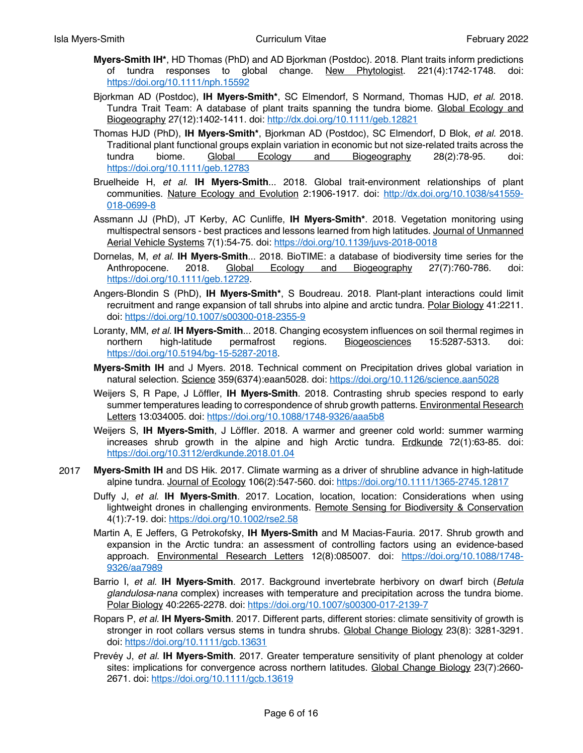- **Myers-Smith IH\***, HD Thomas (PhD) and AD Bjorkman (Postdoc). 2018. Plant traits inform predictions of tundra responses to global change. New Phytologist. 221(4):1742-1748. doi: https://doi.org/10.1111/nph.15592
- Bjorkman AD (Postdoc), **IH Myers-Smith\***, SC Elmendorf, S Normand, Thomas HJD, *et al.* 2018. Tundra Trait Team: A database of plant traits spanning the tundra biome. Global Ecology and Biogeography 27(12):1402-1411. doi: http://dx.doi.org/10.1111/geb.12821
- Thomas HJD (PhD), **IH Myers-Smith\***, Bjorkman AD (Postdoc), SC Elmendorf, D Blok, *et al.* 2018. Traditional plant functional groups explain variation in economic but not size-related traits across the tundra biome. Global Ecology and Biogeography 28(2):78-95. doi: https://doi.org/10.1111/geb.12783
- Bruelheide H, *et al.* **IH Myers-Smith**... 2018. Global trait-environment relationships of plant communities. Nature Ecology and Evolution 2:1906-1917. doi: http://dx.doi.org/10.1038/s41559- 018-0699-8
- Assmann JJ (PhD), JT Kerby, AC Cunliffe, **IH Myers-Smith\***. 2018. Vegetation monitoring using multispectral sensors - best practices and lessons learned from high latitudes. Journal of Unmanned Aerial Vehicle Systems 7(1):54-75. doi: https://doi.org/10.1139/juvs-2018-0018
- Dornelas, M, *et al.* **IH Myers-Smith**... 2018. BioTIME: a database of biodiversity time series for the Anthropocene. 2018. Global Ecology and Biogeography 27(7):760-786. doi: https://doi.org/10.1111/geb.12729.
- Angers-Blondin S (PhD), **IH Myers-Smith\***, S Boudreau. 2018. Plant-plant interactions could limit recruitment and range expansion of tall shrubs into alpine and arctic tundra. Polar Biology 41:2211. doi: https://doi.org/10.1007/s00300-018-2355-9
- Loranty, MM, *et al.* **IH Myers-Smith**... 2018. Changing ecosystem influences on soil thermal regimes in northern high-latitude permafrost regions. Biogeosciences 15:5287-5313. doi: https://doi.org/10.5194/bg-15-5287-2018.
- **Myers-Smith IH** and J Myers. 2018. Technical comment on Precipitation drives global variation in natural selection. Science 359(6374):eaan5028. doi: https://doi.org/10.1126/science.aan5028
- Weijers S, R Pape, J Löffler, **IH Myers-Smith**. 2018. Contrasting shrub species respond to early summer temperatures leading to correspondence of shrub growth patterns. Environmental Research Letters 13:034005. doi: https://doi.org/10.1088/1748-9326/aaa5b8
- Weijers S, **IH Myers-Smith**, J Löffler. 2018. A warmer and greener cold world: summer warming increases shrub growth in the alpine and high Arctic tundra. **Erdkunde 72(1):63-85**. doi: https://doi.org/10.3112/erdkunde.2018.01.04
- 2017 **Myers-Smith IH** and DS Hik. 2017. Climate warming as a driver of shrubline advance in high-latitude alpine tundra. Journal of Ecology 106(2):547-560. doi: https://doi.org/10.1111/1365-2745.12817
	- Duffy J, *et al.* **IH Myers-Smith**. 2017. Location, location, location: Considerations when using lightweight drones in challenging environments. Remote Sensing for Biodiversity & Conservation 4(1):7-19. doi: https://doi.org/10.1002/rse2.58
	- Martin A, E Jeffers, G Petrokofsky, **IH Myers-Smith** and M Macias-Fauria. 2017. Shrub growth and expansion in the Arctic tundra: an assessment of controlling factors using an evidence-based approach. Environmental Research Letters 12(8):085007. doi: https://doi.org/10.1088/1748- 9326/aa7989
	- Barrio I, *et al.* **IH Myers-Smith**. 2017. Background invertebrate herbivory on dwarf birch (*Betula glandulosa*-*nana* complex) increases with temperature and precipitation across the tundra biome. Polar Biology 40:2265-2278. doi: https://doi.org/10.1007/s00300-017-2139-7
	- Ropars P, *et al.* **IH Myers-Smith**. 2017. Different parts, different stories: climate sensitivity of growth is stronger in root collars versus stems in tundra shrubs. Global Change Biology 23(8): 3281-3291. doi: https://doi.org/10.1111/gcb.13631
	- Prevéy J, *et al.* **IH Myers-Smith**. 2017. Greater temperature sensitivity of plant phenology at colder sites: implications for convergence across northern latitudes. Global Change Biology 23(7):2660- 2671. doi: https://doi.org/10.1111/gcb.13619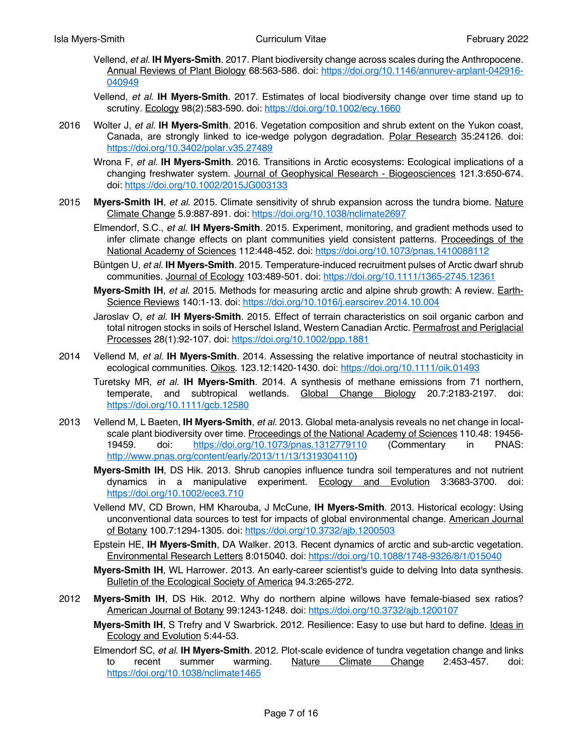- Vellend, *et al.* **IH Myers-Smith**. 2017. Plant biodiversity change across scales during the Anthropocene. Annual Reviews of Plant Biology 68:563-586. doi: https://doi.org/10.1146/annurev-arplant-042916- 040949
- Vellend, *et al.* **IH Myers-Smith**. 2017. Estimates of local biodiversity change over time stand up to scrutiny. Ecology 98(2):583-590. doi: https://doi.org/10.1002/ecy.1660
- 2016 Wolter J, *et al.* **IH Myers-Smith**. 2016. Vegetation composition and shrub extent on the Yukon coast, Canada, are strongly linked to ice-wedge polygon degradation. Polar Research 35:24126. doi: https://doi.org/10.3402/polar.v35.27489

Wrona F, *et al.* **IH Myers-Smith**. 2016. Transitions in Arctic ecosystems: Ecological implications of a changing freshwater system. Journal of Geophysical Research - Biogeosciences 121.3:650-674. doi: https://doi.org/10.1002/2015JG003133

- 2015 **Myers-Smith IH**, *et al.* 2015. Climate sensitivity of shrub expansion across the tundra biome. Nature Climate Change 5.9:887-891. doi: https://doi.org/10.1038/nclimate2697
	- Elmendorf, S.C., *et al.* **IH Myers-Smith**. 2015. Experiment, monitoring, and gradient methods used to infer climate change effects on plant communities yield consistent patterns. Proceedings of the National Academy of Sciences 112:448-452. doi: https://doi.org/10.1073/pnas.1410088112
	- Büntgen U, *et al.* **IH Myers-Smith**. 2015. Temperature-induced recruitment pulses of Arctic dwarf shrub communities. Journal of Ecology 103:489-501. doi: https://doi.org/10.1111/1365-2745.12361

**Myers-Smith IH**, *et al.* 2015. Methods for measuring arctic and alpine shrub growth: A review. Earth-Science Reviews 140:1-13. doi: https://doi.org/10.1016/j.earscirev.2014.10.004

Jaroslav O, *et al.* **IH Myers-Smith**. 2015. Effect of terrain characteristics on soil organic carbon and total nitrogen stocks in soils of Herschel Island, Western Canadian Arctic. Permafrost and Periglacial Processes 28(1):92-107. doi: https://doi.org/10.1002/ppp.1881

2014 Vellend M, *et al.* **IH Myers-Smith**. 2014. Assessing the relative importance of neutral stochasticity in ecological communities. Oikos. 123.12:1420-1430. doi: https://doi.org/10.1111/oik.01493

Turetsky MR, *et al.* **IH Myers-Smith**. 2014. A synthesis of methane emissions from 71 northern, temperate, and subtropical wetlands. Global Change Biology 20.7:2183-2197. doi: https://doi.org/10.1111/gcb.12580

- 2013 Vellend M, L Baeten, **IH Myers-Smith**, *et al.* 2013. Global meta-analysis reveals no net change in localscale plant biodiversity over time. Proceedings of the National Academy of Sciences 110.48: 19456-19459. doi: https://doi.org/10.1073/pnas.1312779110 (Commentary in PNAS: http://www.pnas.org/content/early/2013/11/13/1319304110)
	- **Myers-Smith IH**, DS Hik. 2013. Shrub canopies influence tundra soil temperatures and not nutrient dynamics in a manipulative experiment. Ecology and Evolution 3:3683-3700. doi: https://doi.org/10.1002/ece3.710
	- Vellend MV, CD Brown, HM Kharouba, J McCune, **IH Myers-Smith**. 2013. Historical ecology: Using unconventional data sources to test for impacts of global environmental change. American Journal of Botany 100.7:1294-1305. doi: https://doi.org/10.3732/ajb.1200503

Epstein HE, **IH Myers-Smith**, DA Walker. 2013. Recent dynamics of arctic and sub-arctic vegetation. Environmental Research Letters 8:015040. doi: https://doi.org/10.1088/1748-9326/8/1/015040

**Myers-Smith IH**, WL Harrower. 2013. An early-career scientist's guide to delving Into data synthesis. Bulletin of the Ecological Society of America 94.3:265-272.

- 2012 **Myers-Smith IH**, DS Hik. 2012. Why do northern alpine willows have female-biased sex ratios? American Journal of Botany 99:1243-1248. doi: https://doi.org/10.3732/ajb.1200107
	- **Myers-Smith IH**, S Trefry and V Swarbrick. 2012. Resilience: Easy to use but hard to define. Ideas in Ecology and Evolution 5:44-53.
	- Elmendorf SC, *et al.* **IH Myers-Smith**. 2012. Plot-scale evidence of tundra vegetation change and links to recent summer warming. Nature Climate Change 2:453-457. doi: https://doi.org/10.1038/nclimate1465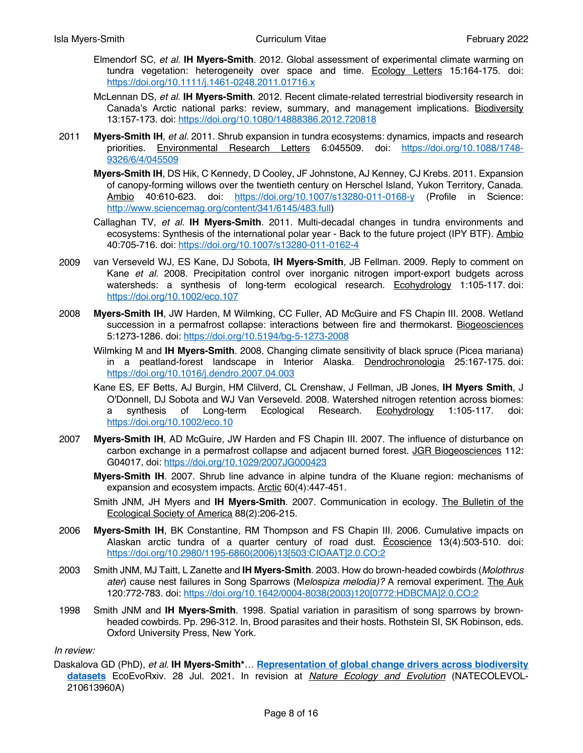- Elmendorf SC, *et al.* **IH Myers-Smith**. 2012. Global assessment of experimental climate warming on tundra vegetation: heterogeneity over space and time. Ecology Letters 15:164-175. doi: https://doi.org/10.1111/j.1461-0248.2011.01716.x
- McLennan DS, *et al.* **IH Myers-Smith**. 2012. Recent climate-related terrestrial biodiversity research in Canada's Arctic national parks: review, summary, and management implications. Biodiversity 13:157-173. doi: https://doi.org/10.1080/14888386.2012.720818
- 2011 **Myers-Smith IH**, *et al.* 2011. Shrub expansion in tundra ecosystems: dynamics, impacts and research priorities. Environmental Research Letters 6:045509. doi: https://doi.org/10.1088/1748- 9326/6/4/045509
	- **Myers-Smith IH**, DS Hik, C Kennedy, D Cooley, JF Johnstone, AJ Kenney, CJ Krebs. 2011. Expansion of canopy-forming willows over the twentieth century on Herschel Island, Yukon Territory, Canada. Ambio 40:610-623. doi: https://doi.org/10.1007/s13280-011-0168-y (Profile in Science: http://www.sciencemag.org/content/341/6145/483.full)
	- Callaghan TV, *et al.* **IH Myers-Smith**. 2011. Multi-decadal changes in tundra environments and ecosystems: Synthesis of the international polar year - Back to the future project (IPY BTF). Ambio 40:705-716. doi: https://doi.org/10.1007/s13280-011-0162-4
- 2009 van Verseveld WJ, ES Kane, DJ Sobota, **IH Myers-Smith**, JB Fellman. 2009. Reply to comment on Kane *et al.* 2008. Precipitation control over inorganic nitrogen import-export budgets across watersheds: a synthesis of long-term ecological research. Ecohydrology 1:105-117. doi: https://doi.org/10.1002/eco.107
- 2008 **Myers-Smith IH**, JW Harden, M Wilmking, CC Fuller, AD McGuire and FS Chapin III. 2008. Wetland succession in a permafrost collapse: interactions between fire and thermokarst. Biogeosciences 5:1273-1286. doi: https://doi.org/10.5194/bg-5-1273-2008
	- Wilmking M and **IH Myers-Smith**. 2008. Changing climate sensitivity of black spruce (Picea mariana) in a peatland-forest landscape in Interior Alaska. Dendrochronologia 25:167-175. doi: https://doi.org/10.1016/j.dendro.2007.04.003
	- Kane ES, EF Betts, AJ Burgin, HM Clilverd, CL Crenshaw, J Fellman, JB Jones, **IH Myers Smith**, J O'Donnell, DJ Sobota and WJ Van Verseveld. 2008. Watershed nitrogen retention across biomes: a synthesis of Long-term Ecological Research. Ecohydrology 1:105-117. doi: https://doi.org/10.1002/eco.10
- 2007 **Myers-Smith IH**, AD McGuire, JW Harden and FS Chapin III. 2007. The influence of disturbance on carbon exchange in a permafrost collapse and adjacent burned forest. JGR Biogeosciences 112: G04017, doi: https://doi.org/10.1029/2007JG000423
	- **Myers-Smith IH**. 2007. Shrub line advance in alpine tundra of the Kluane region: mechanisms of expansion and ecosystem impacts. Arctic 60(4):447-451.
	- Smith JNM, JH Myers and **IH Myers-Smith**. 2007. Communication in ecology. The Bulletin of the Ecological Society of America 88(2):206-215.
- 2006 **Myers-Smith IH**, BK Constantine, RM Thompson and FS Chapin III. 2006. Cumulative impacts on Alaskan arctic tundra of a quarter century of road dust. Écoscience 13(4):503-510. doi: https://doi.org/10.2980/1195-6860(2006)13[503:CIOAAT]2.0.CO;2
- 2003 Smith JNM, MJ Taitt, L Zanette and **IH Myers-Smith**. 2003. How do brown-headed cowbirds (*Molothrus ater*) cause nest failures in Song Sparrows (M*elospiza melodia)?* A removal experiment. The Auk 120:772-783. doi: https://doi.org/10.1642/0004-8038(2003)120[0772:HDBCMA]2.0.CO;2
- 1998 Smith JNM and **IH Myers-Smith**. 1998. Spatial variation in parasitism of song sparrows by brownheaded cowbirds. Pp. 296-312. In, Brood parasites and their hosts. Rothstein SI, SK Robinson, eds. Oxford University Press, New York.

#### *In review:*

Daskalova GD (PhD), *et al.* **IH Myers-Smith\***… **Representation of global change drivers across biodiversity datasets** EcoEvoRxiv. 28 Jul. 2021. In revision at *Nature Ecology and Evolution* (NATECOLEVOL-210613960A)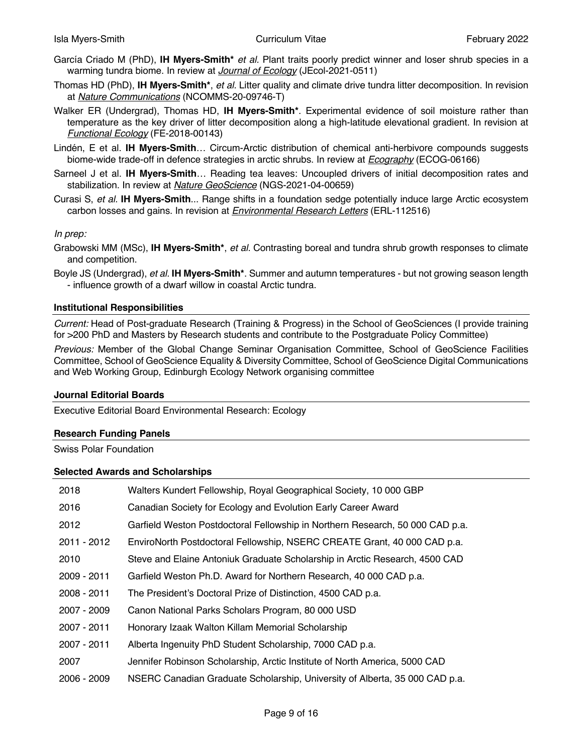- García Criado M (PhD), **IH Myers-Smith\*** *et al.* Plant traits poorly predict winner and loser shrub species in a warming tundra biome. In review at *Journal of Ecology* (JEcol-2021-0511)
- Thomas HD (PhD), **IH Myers-Smith\***, *et al.* Litter quality and climate drive tundra litter decomposition. In revision at *Nature Communications* (NCOMMS-20-09746-T)
- Walker ER (Undergrad), Thomas HD, **IH Myers-Smith\***. Experimental evidence of soil moisture rather than temperature as the key driver of litter decomposition along a high-latitude elevational gradient. In revision at *Functional Ecology* (FE-2018-00143)
- Lindén, E et al. **IH Myers-Smith**… Circum-Arctic distribution of chemical anti-herbivore compounds suggests biome-wide trade-off in defence strategies in arctic shrubs. In review at *Ecography* (ECOG-06166)
- Sarneel J et al. **IH Myers-Smith**… Reading tea leaves: Uncoupled drivers of initial decomposition rates and stabilization. In review at *Nature GeoScience* (NGS-2021-04-00659)
- Curasi S, *et al.* **IH Myers-Smith**... Range shifts in a foundation sedge potentially induce large Arctic ecosystem carbon losses and gains. In revision at *Environmental Research Letters* (ERL-112516)

## *In prep:*

- Grabowski MM (MSc), **IH Myers-Smith\***, *et al.* Contrasting boreal and tundra shrub growth responses to climate and competition.
- Boyle JS (Undergrad), *et al.* **IH Myers-Smith\***. Summer and autumn temperatures but not growing season length - influence growth of a dwarf willow in coastal Arctic tundra.

#### **Institutional Responsibilities**

*Current:* Head of Post-graduate Research (Training & Progress) in the School of GeoSciences (I provide training for >200 PhD and Masters by Research students and contribute to the Postgraduate Policy Committee)

*Previous:* Member of the Global Change Seminar Organisation Committee, School of GeoScience Facilities Committee, School of GeoScience Equality & Diversity Committee, School of GeoScience Digital Communications and Web Working Group, Edinburgh Ecology Network organising committee

#### **Journal Editorial Boards**

Executive Editorial Board Environmental Research: Ecology

#### **Research Funding Panels**

Swiss Polar Foundation

#### **Selected Awards and Scholarships**

| 2018        | Walters Kundert Fellowship, Royal Geographical Society, 10 000 GBP            |
|-------------|-------------------------------------------------------------------------------|
| 2016        | Canadian Society for Ecology and Evolution Early Career Award                 |
| 2012        | Garfield Weston Postdoctoral Fellowship in Northern Research, 50 000 CAD p.a. |
| 2011 - 2012 | EnviroNorth Postdoctoral Fellowship, NSERC CREATE Grant, 40 000 CAD p.a.      |
| 2010        | Steve and Elaine Antoniuk Graduate Scholarship in Arctic Research, 4500 CAD   |
| 2009 - 2011 | Garfield Weston Ph.D. Award for Northern Research, 40 000 CAD p.a.            |
| 2008 - 2011 | The President's Doctoral Prize of Distinction, 4500 CAD p.a.                  |
| 2007 - 2009 | Canon National Parks Scholars Program, 80 000 USD                             |
| 2007 - 2011 | Honorary Izaak Walton Killam Memorial Scholarship                             |
| 2007 - 2011 | Alberta Ingenuity PhD Student Scholarship, 7000 CAD p.a.                      |
| 2007        | Jennifer Robinson Scholarship, Arctic Institute of North America, 5000 CAD    |
| 2006 - 2009 | NSERC Canadian Graduate Scholarship, University of Alberta, 35 000 CAD p.a.   |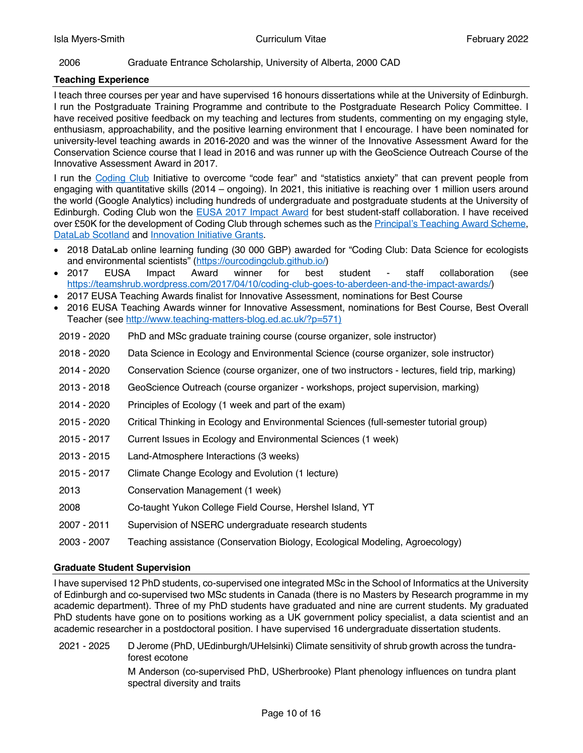# 2006 Graduate Entrance Scholarship, University of Alberta, 2000 CAD

## **Teaching Experience**

I teach three courses per year and have supervised 16 honours dissertations while at the University of Edinburgh. I run the Postgraduate Training Programme and contribute to the Postgraduate Research Policy Committee. I have received positive feedback on my teaching and lectures from students, commenting on my engaging style, enthusiasm, approachability, and the positive learning environment that I encourage. I have been nominated for university-level teaching awards in 2016-2020 and was the winner of the Innovative Assessment Award for the Conservation Science course that I lead in 2016 and was runner up with the GeoScience Outreach Course of the Innovative Assessment Award in 2017.

I run the Coding Club Initiative to overcome "code fear" and "statistics anxiety" that can prevent people from engaging with quantitative skills (2014 – ongoing). In 2021, this initiative is reaching over 1 million users around the world (Google Analytics) including hundreds of undergraduate and postgraduate students at the University of Edinburgh. Coding Club won the EUSA 2017 Impact Award for best student-staff collaboration. I have received over £50K for the development of Coding Club through schemes such as the Principal's Teaching Award Scheme, DataLab Scotland and Innovation Initiative Grants.

- 2018 DataLab online learning funding (30 000 GBP) awarded for "Coding Club: Data Science for ecologists and environmental scientists" (https://ourcodingclub.github.io/)
- 2017 EUSA Impact Award winner for best student staff collaboration (see https://teamshrub.wordpress.com/2017/04/10/coding-club-goes-to-aberdeen-and-the-impact-awards/)
- 2017 EUSA Teaching Awards finalist for Innovative Assessment, nominations for Best Course
- 2016 EUSA Teaching Awards winner for Innovative Assessment, nominations for Best Course, Best Overall Teacher (see http://www.teaching-matters-blog.ed.ac.uk/?p=571)
- 2019 2020 PhD and MSc graduate training course (course organizer, sole instructor)
- 2018 2020 Data Science in Ecology and Environmental Science (course organizer, sole instructor)
- 2014 2020 Conservation Science (course organizer, one of two instructors lectures, field trip, marking)
- 2013 2018 GeoScience Outreach (course organizer workshops, project supervision, marking)
- 2014 2020 Principles of Ecology (1 week and part of the exam)
- 2015 2020 Critical Thinking in Ecology and Environmental Sciences (full-semester tutorial group)
- 2015 2017 Current Issues in Ecology and Environmental Sciences (1 week)
- 2013 2015 Land-Atmosphere Interactions (3 weeks)
- 2015 2017 Climate Change Ecology and Evolution (1 lecture)
- 2013 Conservation Management (1 week)
- 2008 Co-taught Yukon College Field Course, Hershel Island, YT
- 2007 2011 Supervision of NSERC undergraduate research students
- 2003 2007 Teaching assistance (Conservation Biology, Ecological Modeling, Agroecology)

#### **Graduate Student Supervision**

I have supervised 12 PhD students, co-supervised one integrated MSc in the School of Informatics at the University of Edinburgh and co-supervised two MSc students in Canada (there is no Masters by Research programme in my academic department). Three of my PhD students have graduated and nine are current students. My graduated PhD students have gone on to positions working as a UK government policy specialist, a data scientist and an academic researcher in a postdoctoral position. I have supervised 16 undergraduate dissertation students.

2021 - 2025 D Jerome (PhD, UEdinburgh/UHelsinki) Climate sensitivity of shrub growth across the tundraforest ecotone

> M Anderson (co-supervised PhD, USherbrooke) Plant phenology influences on tundra plant spectral diversity and traits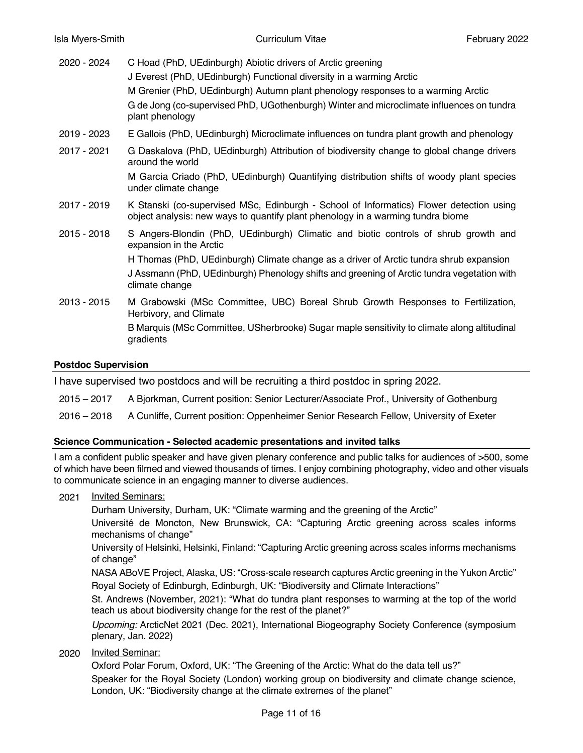| C Hoad (PhD, UEdinburgh) Abiotic drivers of Arctic greening | J Everest (PhD, UEdinburgh) Functional diversity in a warming Arctic                                                                                                                                   |
|-------------------------------------------------------------|--------------------------------------------------------------------------------------------------------------------------------------------------------------------------------------------------------|
|                                                             | M Grenier (PhD, UEdinburgh) Autumn plant phenology responses to a warming Arctic<br>G de Jong (co-supervised PhD, UGothenburgh) Winter and microclimate influences on tundra<br>plant phenology        |
| 2019 - 2023                                                 | E Gallois (PhD, UEdinburgh) Microclimate influences on tundra plant growth and phenology                                                                                                               |
| 2017 - 2021                                                 | G Daskalova (PhD, UEdinburgh) Attribution of biodiversity change to global change drivers<br>around the world                                                                                          |
|                                                             | M García Criado (PhD, UEdinburgh) Quantifying distribution shifts of woody plant species<br>under climate change                                                                                       |
| 2017 - 2019                                                 | K Stanski (co-supervised MSc, Edinburgh - School of Informatics) Flower detection using<br>object analysis: new ways to quantify plant phenology in a warming tundra biome                             |
| 2015 - 2018                                                 | S Angers-Blondin (PhD, UEdinburgh) Climatic and biotic controls of shrub growth and<br>expansion in the Arctic                                                                                         |
|                                                             | H Thomas (PhD, UEdinburgh) Climate change as a driver of Arctic tundra shrub expansion<br>J Assmann (PhD, UEdinburgh) Phenology shifts and greening of Arctic tundra vegetation with<br>climate change |
| 2013 - 2015                                                 | M Grabowski (MSc Committee, UBC) Boreal Shrub Growth Responses to Fertilization,<br>Herbivory, and Climate                                                                                             |
|                                                             | B Marquis (MSc Committee, USherbrooke) Sugar maple sensitivity to climate along altitudinal<br>gradients                                                                                               |

## **Postdoc Supervision**

I have supervised two postdocs and will be recruiting a third postdoc in spring 2022.

2015 – 2017 A Bjorkman, Current position: Senior Lecturer/Associate Prof., University of Gothenburg

2016 – 2018 A Cunliffe, Current position: Oppenheimer Senior Research Fellow, University of Exeter

#### **Science Communication - Selected academic presentations and invited talks**

I am a confident public speaker and have given plenary conference and public talks for audiences of >500, some of which have been filmed and viewed thousands of times. I enjoy combining photography, video and other visuals to communicate science in an engaging manner to diverse audiences.

2021 Invited Seminars:

Durham University, Durham, UK: "Climate warming and the greening of the Arctic"

Université de Moncton, New Brunswick, CA: "Capturing Arctic greening across scales informs mechanisms of change"

University of Helsinki, Helsinki, Finland: "Capturing Arctic greening across scales informs mechanisms of change"

NASA ABoVE Project, Alaska, US: "Cross-scale research captures Arctic greening in the Yukon Arctic" Royal Society of Edinburgh, Edinburgh, UK: "Biodiversity and Climate Interactions"

St. Andrews (November, 2021): "What do tundra plant responses to warming at the top of the world teach us about biodiversity change for the rest of the planet?"

*Upcoming:* ArcticNet 2021 (Dec. 2021), International Biogeography Society Conference (symposium plenary, Jan. 2022)

2020 Invited Seminar:

Oxford Polar Forum, Oxford, UK: "The Greening of the Arctic: What do the data tell us?"

Speaker for the Royal Society (London) working group on biodiversity and climate change science, London, UK: "Biodiversity change at the climate extremes of the planet"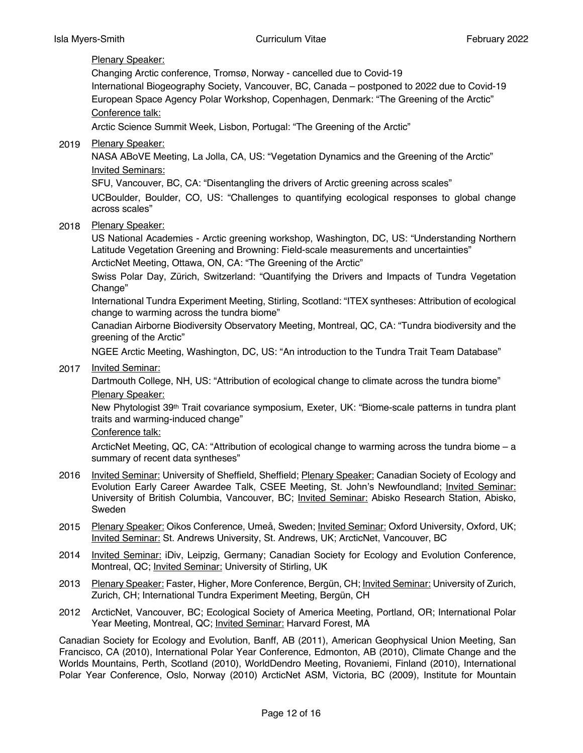# Plenary Speaker:

Changing Arctic conference, Tromsø, Norway - cancelled due to Covid-19 International Biogeography Society, Vancouver, BC, Canada – postponed to 2022 due to Covid-19

European Space Agency Polar Workshop, Copenhagen, Denmark: "The Greening of the Arctic" Conference talk:

Arctic Science Summit Week, Lisbon, Portugal: "The Greening of the Arctic"

2019 Plenary Speaker:

NASA ABoVE Meeting, La Jolla, CA, US: "Vegetation Dynamics and the Greening of the Arctic" Invited Seminars:

SFU, Vancouver, BC, CA: "Disentangling the drivers of Arctic greening across scales"

UCBoulder, Boulder, CO, US: "Challenges to quantifying ecological responses to global change across scales"

2018 Plenary Speaker:

US National Academies - Arctic greening workshop, Washington, DC, US: "Understanding Northern Latitude Vegetation Greening and Browning: Field-scale measurements and uncertainties"

ArcticNet Meeting, Ottawa, ON, CA: "The Greening of the Arctic"

Swiss Polar Day, Zürich, Switzerland: "Quantifying the Drivers and Impacts of Tundra Vegetation Change"

International Tundra Experiment Meeting, Stirling, Scotland: "ITEX syntheses: Attribution of ecological change to warming across the tundra biome"

Canadian Airborne Biodiversity Observatory Meeting, Montreal, QC, CA: "Tundra biodiversity and the greening of the Arctic"

NGEE Arctic Meeting, Washington, DC, US: "An introduction to the Tundra Trait Team Database"

2017 Invited Seminar:

Dartmouth College, NH, US: "Attribution of ecological change to climate across the tundra biome" Plenary Speaker:

New Phytologist 39th Trait covariance symposium, Exeter, UK: "Biome-scale patterns in tundra plant traits and warming-induced change"

# Conference talk:

ArcticNet Meeting, QC, CA: "Attribution of ecological change to warming across the tundra biome – a summary of recent data syntheses"

- 2016 Invited Seminar: University of Sheffield, Sheffield; Plenary Speaker: Canadian Society of Ecology and Evolution Early Career Awardee Talk, CSEE Meeting, St. John's Newfoundland; *Invited Seminar:* University of British Columbia, Vancouver, BC; Invited Seminar: Abisko Research Station, Abisko, Sweden
- 2015 Plenary Speaker: Oikos Conference, Umeå, Sweden; Invited Seminar: Oxford University, Oxford, UK; Invited Seminar: St. Andrews University, St. Andrews, UK; ArcticNet, Vancouver, BC
- 2014 Invited Seminar: iDiv, Leipzig, Germany; Canadian Society for Ecology and Evolution Conference, Montreal, QC; Invited Seminar: University of Stirling, UK
- 2013 Plenary Speaker: Faster, Higher, More Conference, Bergün, CH; Invited Seminar: University of Zurich, Zurich, CH; International Tundra Experiment Meeting, Bergün, CH
- 2012 ArcticNet, Vancouver, BC; Ecological Society of America Meeting, Portland, OR; International Polar Year Meeting, Montreal, QC; Invited Seminar: Harvard Forest, MA

Canadian Society for Ecology and Evolution, Banff, AB (2011), American Geophysical Union Meeting, San Francisco, CA (2010), International Polar Year Conference, Edmonton, AB (2010), Climate Change and the Worlds Mountains, Perth, Scotland (2010), WorldDendro Meeting, Rovaniemi, Finland (2010), International Polar Year Conference, Oslo, Norway (2010) ArcticNet ASM, Victoria, BC (2009), Institute for Mountain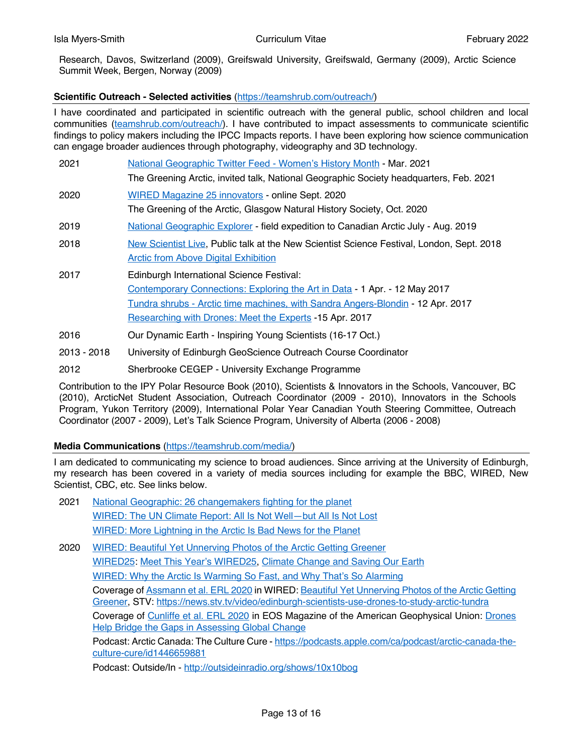Research, Davos, Switzerland (2009), Greifswald University, Greifswald, Germany (2009), Arctic Science Summit Week, Bergen, Norway (2009)

# **Scientific Outreach - Selected activities** (https://teamshrub.com/outreach/)

I have coordinated and participated in scientific outreach with the general public, school children and local communities (teamshrub.com/outreach/). I have contributed to impact assessments to communicate scientific findings to policy makers including the IPCC Impacts reports. I have been exploring how science communication can engage broader audiences through photography, videography and 3D technology.

| 2021 | <u> National Geographic Twitter Feed - Women's History Month - Mar. 2021</u><br>The Greening Arctic, invited talk, National Geographic Society headquarters, Feb. 2021                                                                                                       |
|------|------------------------------------------------------------------------------------------------------------------------------------------------------------------------------------------------------------------------------------------------------------------------------|
| 2020 | WIRED Magazine 25 innovators - online Sept. 2020<br>The Greening of the Arctic, Glasgow Natural History Society, Oct. 2020                                                                                                                                                   |
| 2019 | National Geographic Explorer - field expedition to Canadian Arctic July - Aug. 2019                                                                                                                                                                                          |
| 2018 | New Scientist Live, Public talk at the New Scientist Science Festival, London, Sept. 2018<br><b>Arctic from Above Digital Exhibition</b>                                                                                                                                     |
| 2017 | Edinburgh International Science Festival:<br><b>Contemporary Connections: Exploring the Art in Data - 1 Apr. - 12 May 2017</b><br>Tundra shrubs - Arctic time machines, with Sandra Angers-Blondin - 12 Apr. 2017<br>Researching with Drones: Meet the Experts -15 Apr. 2017 |
|      |                                                                                                                                                                                                                                                                              |

- 2016 Our Dynamic Earth Inspiring Young Scientists (16-17 Oct.)
- 2013 2018 University of Edinburgh GeoScience Outreach Course Coordinator
- 2012 Sherbrooke CEGEP University Exchange Programme

Contribution to the IPY Polar Resource Book (2010), Scientists & Innovators in the Schools, Vancouver, BC (2010), ArcticNet Student Association, Outreach Coordinator (2009 - 2010), Innovators in the Schools Program, Yukon Territory (2009), International Polar Year Canadian Youth Steering Committee, Outreach Coordinator (2007 - 2009), Let's Talk Science Program, University of Alberta (2006 - 2008)

# **Media Communications** (https://teamshrub.com/media/)

I am dedicated to communicating my science to broad audiences. Since arriving at the University of Edinburgh, my research has been covered in a variety of media sources including for example the BBC, WIRED, New Scientist, CBC, etc. See links below.

- 2021 National Geographic: 26 changemakers fighting for the planet WIRED: The UN Climate Report: All Is Not Well—but All Is Not Lost WIRED: More Lightning in the Arctic Is Bad News for the Planet
- 2020 WIRED: Beautiful Yet Unnerving Photos of the Arctic Getting Greener WIRED25: Meet This Year's WIRED25, Climate Change and Saving Our Earth WIRED: Why the Arctic Is Warming So Fast, and Why That's So Alarming Coverage of Assmann et al. ERL 2020 in WIRED: Beautiful Yet Unnerving Photos of the Arctic Getting Greener, STV: https://news.stv.tv/video/edinburgh-scientists-use-drones-to-study-arctic-tundra Coverage of Cunliffe et al. ERL 2020 in EOS Magazine of the American Geophysical Union: Drones Help Bridge the Gaps in Assessing Global Change Podcast: Arctic Canada: The Culture Cure - https://podcasts.apple.com/ca/podcast/arctic-canada-theculture-cure/id1446659881

Podcast: Outside/In - http://outsideinradio.org/shows/10x10bog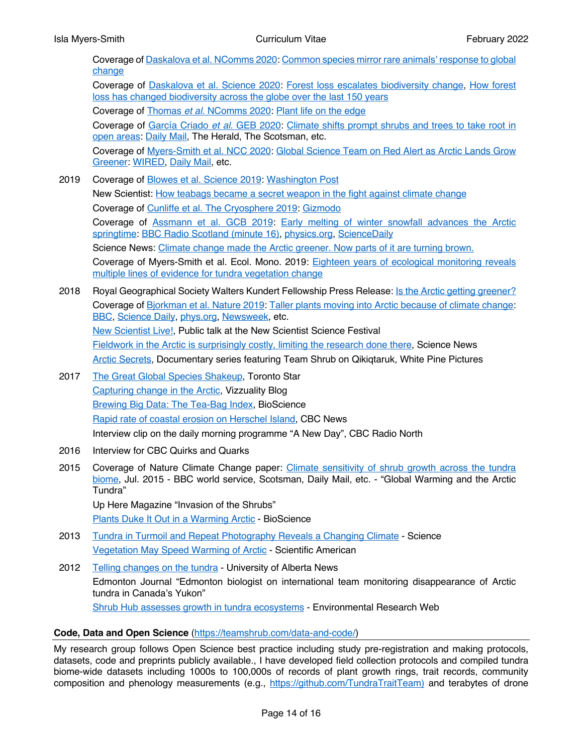|      | Coverage of Daskalova et al. NComms 2020: Common species mirror rare animals' response to global<br>change                                                                                                     |
|------|----------------------------------------------------------------------------------------------------------------------------------------------------------------------------------------------------------------|
|      | Coverage of Daskalova et al. Science 2020: Forest loss escalates biodiversity change, How forest<br>loss has changed biodiversity across the globe over the last 150 years                                     |
|      | Coverage of Thomas et al. NComms 2020: Plant life on the edge                                                                                                                                                  |
|      | Coverage of García Criado et al. GEB 2020: Climate shifts prompt shrubs and trees to take root in<br>open areas: Daily Mail, The Herald, The Scotsman, etc.                                                    |
|      | Coverage of Myers-Smith et al. NCC 2020: Global Science Team on Red Alert as Arctic Lands Grow<br>Greener: WIRED, Daily Mail, etc.                                                                             |
| 2019 | Coverage of Blowes et al. Science 2019: Washington Post                                                                                                                                                        |
|      | New Scientist: How teabags became a secret weapon in the fight against climate change                                                                                                                          |
|      | Coverage of Cunliffe et al. The Cryosphere 2019: Gizmodo                                                                                                                                                       |
|      | Coverage of Assmann et al. GCB 2019: Early melting of winter snowfall advances the Arctic<br>springtime: BBC Radio Scotland (minute 16), physics.org, ScienceDaily                                             |
|      | Science News: Climate change made the Arctic greener. Now parts of it are turning brown.                                                                                                                       |
|      | Coverage of Myers-Smith et al. Ecol. Mono. 2019: Eighteen years of ecological monitoring reveals<br>multiple lines of evidence for tundra vegetation change                                                    |
| 2018 | Royal Geographical Society Walters Kundert Fellowship Press Release: Is the Arctic getting greener?                                                                                                            |
|      | Coverage of Bjorkman et al. Nature 2019: Taller plants moving into Arctic because of climate change:<br><b>BBC, Science Daily, phys.org, Newsweek, etc.</b>                                                    |
|      | New Scientist Live!, Public talk at the New Scientist Science Festival                                                                                                                                         |
|      | Fieldwork in the Arctic is surprisingly costly, limiting the research done there, Science News                                                                                                                 |
|      | Arctic Secrets, Documentary series featuring Team Shrub on Qikiqtaruk, White Pine Pictures                                                                                                                     |
| 2017 | The Great Global Species Shakeup, Toronto Star                                                                                                                                                                 |
|      | Capturing change in the Arctic, Vizzuality Blog                                                                                                                                                                |
|      | Brewing Big Data: The Tea-Bag Index, BioScience                                                                                                                                                                |
|      | Rapid rate of coastal erosion on Herschel Island, CBC News                                                                                                                                                     |
|      | Interview clip on the daily morning programme "A New Day", CBC Radio North                                                                                                                                     |
| 2016 | Interview for CBC Quirks and Quarks                                                                                                                                                                            |
| 2015 | Coverage of Nature Climate Change paper: Climate sensitivity of shrub growth across the tundra<br>biome, Jul. 2015 - BBC world service, Scotsman, Daily Mail, etc. - "Global Warming and the Arctic<br>Tundra" |
|      | Up Here Magazine "Invasion of the Shrubs"                                                                                                                                                                      |
|      | Plants Duke It Out in a Warming Arctic - BioScience                                                                                                                                                            |

- 2013 Tundra in Turmoil and Repeat Photography Reveals a Changing Climate Science Vegetation May Speed Warming of Arctic - Scientific American
- 2012 Telling changes on the tundra University of Alberta News Edmonton Journal "Edmonton biologist on international team monitoring disappearance of Arctic tundra in Canada's Yukon" Shrub Hub assesses growth in tundra ecosystems - Environmental Research Web

# **Code, Data and Open Science** (https://teamshrub.com/data-and-code/)

My research group follows Open Science best practice including study pre-registration and making protocols, datasets, code and preprints publicly available., I have developed field collection protocols and compiled tundra biome-wide datasets including 1000s to 100,000s of records of plant growth rings, trait records, community composition and phenology measurements (e.g., https://github.com/TundraTraitTeam) and terabytes of drone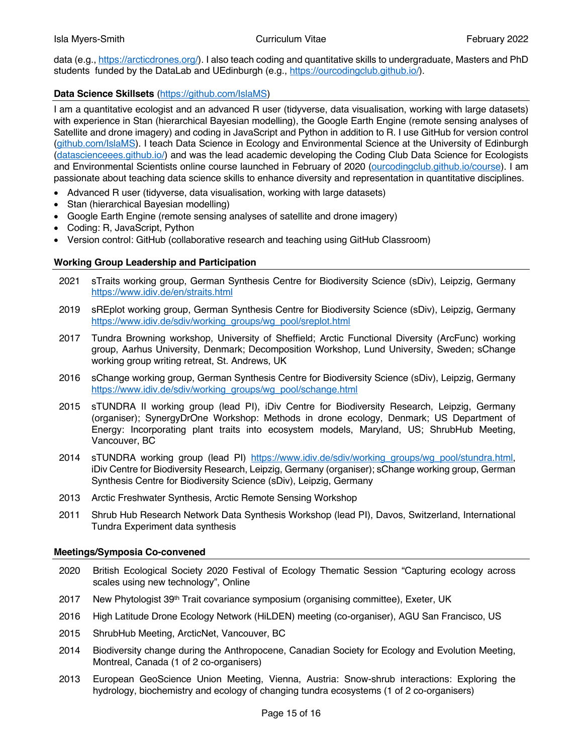data (e.g., https://arcticdrones.org/). I also teach coding and quantitative skills to undergraduate, Masters and PhD students funded by the DataLab and UEdinburgh (e.g., https://ourcodingclub.github.io/).

# **Data Science Skillsets** (https://github.com/IslaMS)

I am a quantitative ecologist and an advanced R user (tidyverse, data visualisation, working with large datasets) with experience in Stan (hierarchical Bayesian modelling), the Google Earth Engine (remote sensing analyses of Satellite and drone imagery) and coding in JavaScript and Python in addition to R. I use GitHub for version control (github.com/IslaMS). I teach Data Science in Ecology and Environmental Science at the University of Edinburgh (datascienceees.github.io/) and was the lead academic developing the Coding Club Data Science for Ecologists and Environmental Scientists online course launched in February of 2020 (ourcodingclub.github.io/course). I am passionate about teaching data science skills to enhance diversity and representation in quantitative disciplines.

- Advanced R user (tidyverse, data visualisation, working with large datasets)
- Stan (hierarchical Bayesian modelling)
- Google Earth Engine (remote sensing analyses of satellite and drone imagery)
- Coding: R, JavaScript, Python
- Version control: GitHub (collaborative research and teaching using GitHub Classroom)

# **Working Group Leadership and Participation**

- 2021 sTraits working group, German Synthesis Centre for Biodiversity Science (sDiv), Leipzig, Germany https://www.idiv.de/en/straits.html
- 2019 sREplot working group, German Synthesis Centre for Biodiversity Science (sDiv), Leipzig, Germany https://www.idiv.de/sdiv/working\_groups/wg\_pool/sreplot.html
- 2017 Tundra Browning workshop, University of Sheffield; Arctic Functional Diversity (ArcFunc) working group, Aarhus University, Denmark; Decomposition Workshop, Lund University, Sweden; sChange working group writing retreat, St. Andrews, UK
- 2016 sChange working group, German Synthesis Centre for Biodiversity Science (sDiv), Leipzig, Germany https://www.idiv.de/sdiv/working\_groups/wg\_pool/schange.html
- 2015 sTUNDRA II working group (lead PI), iDiv Centre for Biodiversity Research, Leipzig, Germany (organiser); SynergyDrOne Workshop: Methods in drone ecology, Denmark; US Department of Energy: Incorporating plant traits into ecosystem models, Maryland, US; ShrubHub Meeting, Vancouver, BC
- 2014 sTUNDRA working group (lead PI) https://www.idiv.de/sdiv/working\_groups/wg\_pool/stundra.html, iDiv Centre for Biodiversity Research, Leipzig, Germany (organiser); sChange working group, German Synthesis Centre for Biodiversity Science (sDiv), Leipzig, Germany
- 2013 Arctic Freshwater Synthesis, Arctic Remote Sensing Workshop
- 2011 Shrub Hub Research Network Data Synthesis Workshop (lead PI), Davos, Switzerland, International Tundra Experiment data synthesis

# **Meetings/Symposia Co-convened**

- 2020 British Ecological Society 2020 Festival of Ecology Thematic Session "Capturing ecology across scales using new technology", Online
- 2017 New Phytologist 39<sup>th</sup> Trait covariance symposium (organising committee), Exeter, UK
- 2016 High Latitude Drone Ecology Network (HiLDEN) meeting (co-organiser), AGU San Francisco, US
- 2015 ShrubHub Meeting, ArcticNet, Vancouver, BC
- 2014 Biodiversity change during the Anthropocene, Canadian Society for Ecology and Evolution Meeting, Montreal, Canada (1 of 2 co-organisers)
- 2013 European GeoScience Union Meeting, Vienna, Austria: Snow-shrub interactions: Exploring the hydrology, biochemistry and ecology of changing tundra ecosystems (1 of 2 co-organisers)